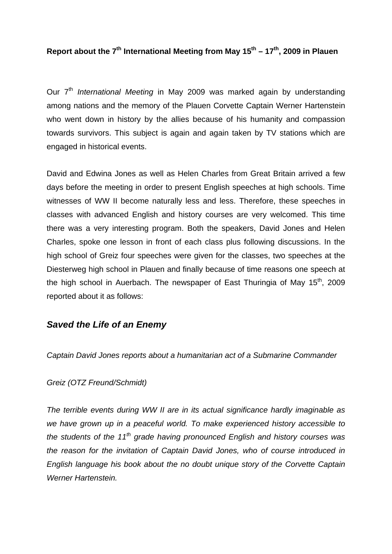## Report about the 7<sup>th</sup> International Meeting from May 15<sup>th</sup> – 17<sup>th</sup>, 2009 in Plauen

Our 7th *International Meeting* in May 2009 was marked again by understanding among nations and the memory of the Plauen Corvette Captain Werner Hartenstein who went down in history by the allies because of his humanity and compassion towards survivors. This subject is again and again taken by TV stations which are engaged in historical events.

David and Edwina Jones as well as Helen Charles from Great Britain arrived a few days before the meeting in order to present English speeches at high schools. Time witnesses of WW II become naturally less and less. Therefore, these speeches in classes with advanced English and history courses are very welcomed. This time there was a very interesting program. Both the speakers, David Jones and Helen Charles, spoke one lesson in front of each class plus following discussions. In the high school of Greiz four speeches were given for the classes, two speeches at the Diesterweg high school in Plauen and finally because of time reasons one speech at the high school in Auerbach. The newspaper of East Thuringia of May  $15<sup>th</sup>$ , 2009 reported about it as follows:

## *Saved the Life of an Enemy*

*Captain David Jones reports about a humanitarian act of a Submarine Commander* 

## *Greiz (OTZ Freund/Schmidt)*

*The terrible events during WW II are in its actual significance hardly imaginable as we have grown up in a peaceful world. To make experienced history accessible to the students of the 11th grade having pronounced English and history courses was the reason for the invitation of Captain David Jones, who of course introduced in English language his book about the no doubt unique story of the Corvette Captain Werner Hartenstein.*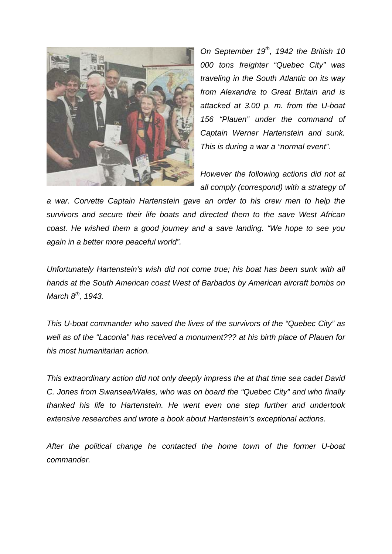

*On September 19th, 1942 the British 10 000 tons freighter "Quebec City" was traveling in the South Atlantic on its way from Alexandra to Great Britain and is attacked at 3.00 p. m. from the U-boat 156 "Plauen" under the command of Captain Werner Hartenstein and sunk. This is during a war a "normal event".* 

*However the following actions did not at all comply (correspond) with a strategy of* 

*a war. Corvette Captain Hartenstein gave an order to his crew men to help the survivors and secure their life boats and directed them to the save West African coast. He wished them a good journey and a save landing. "We hope to see you again in a better more peaceful world".* 

*Unfortunately Hartenstein's wish did not come true; his boat has been sunk with all hands at the South American coast West of Barbados by American aircraft bombs on March 8th, 1943.* 

*This U-boat commander who saved the lives of the survivors of the "Quebec City" as well as of the "Laconia" has received a monument??? at his birth place of Plauen for his most humanitarian action.* 

*This extraordinary action did not only deeply impress the at that time sea cadet David C. Jones from Swansea/Wales, who was on board the "Quebec City" and who finally thanked his life to Hartenstein. He went even one step further and undertook extensive researches and wrote a book about Hartenstein's exceptional actions.* 

*After the political change he contacted the home town of the former U-boat commander.*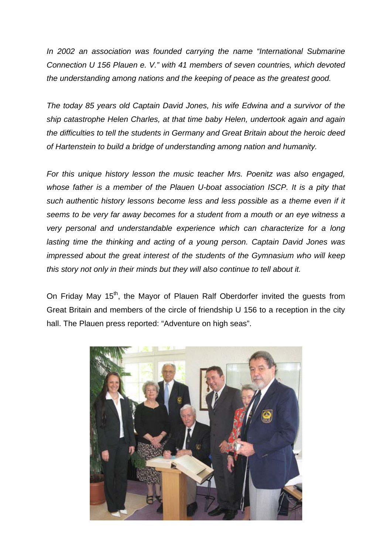*In 2002 an association was founded carrying the name "International Submarine Connection U 156 Plauen e. V." with 41 members of seven countries, which devoted the understanding among nations and the keeping of peace as the greatest good.* 

*The today 85 years old Captain David Jones, his wife Edwina and a survivor of the ship catastrophe Helen Charles, at that time baby Helen, undertook again and again the difficulties to tell the students in Germany and Great Britain about the heroic deed of Hartenstein to build a bridge of understanding among nation and humanity.* 

*For this unique history lesson the music teacher Mrs. Poenitz was also engaged, whose father is a member of the Plauen U-boat association ISCP. It is a pity that such authentic history lessons become less and less possible as a theme even if it seems to be very far away becomes for a student from a mouth or an eye witness a very personal and understandable experience which can characterize for a long lasting time the thinking and acting of a young person. Captain David Jones was impressed about the great interest of the students of the Gymnasium who will keep this story not only in their minds but they will also continue to tell about it.* 

On Friday May 15<sup>th</sup>, the Mayor of Plauen Ralf Oberdorfer invited the guests from Great Britain and members of the circle of friendship U 156 to a reception in the city hall. The Plauen press reported: "Adventure on high seas".